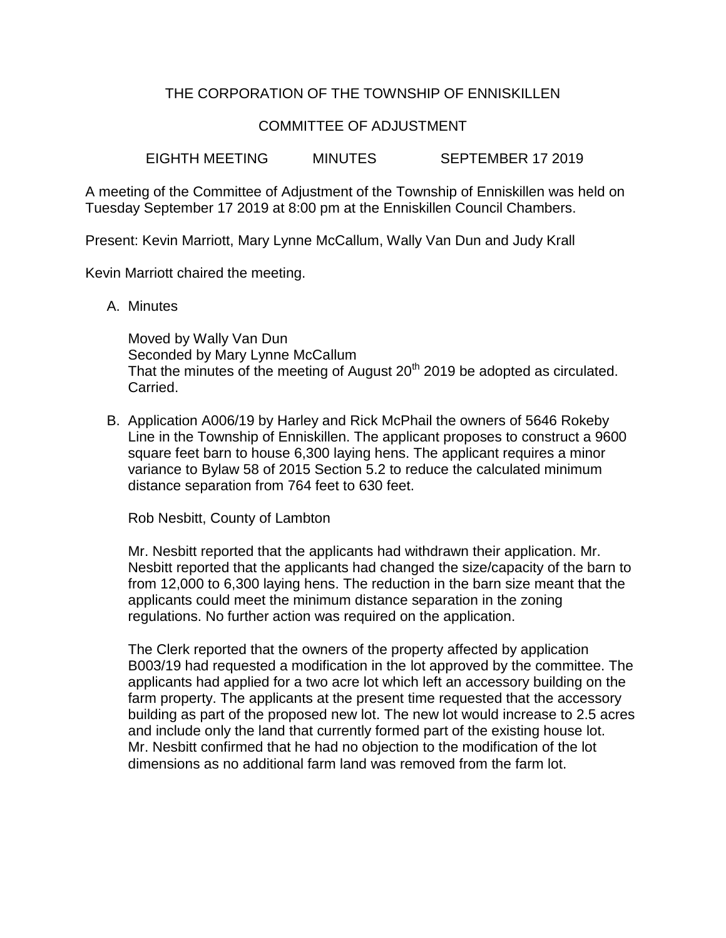## THE CORPORATION OF THE TOWNSHIP OF ENNISKILLEN

## COMMITTEE OF ADJUSTMENT

EIGHTH MEETING MINUTES SEPTEMBER 17 2019

A meeting of the Committee of Adjustment of the Township of Enniskillen was held on Tuesday September 17 2019 at 8:00 pm at the Enniskillen Council Chambers.

Present: Kevin Marriott, Mary Lynne McCallum, Wally Van Dun and Judy Krall

Kevin Marriott chaired the meeting.

A. Minutes

Moved by Wally Van Dun Seconded by Mary Lynne McCallum That the minutes of the meeting of August 20<sup>th</sup> 2019 be adopted as circulated. Carried.

B. Application A006/19 by Harley and Rick McPhail the owners of 5646 Rokeby Line in the Township of Enniskillen. The applicant proposes to construct a 9600 square feet barn to house 6,300 laying hens. The applicant requires a minor variance to Bylaw 58 of 2015 Section 5.2 to reduce the calculated minimum distance separation from 764 feet to 630 feet.

Rob Nesbitt, County of Lambton

Mr. Nesbitt reported that the applicants had withdrawn their application. Mr. Nesbitt reported that the applicants had changed the size/capacity of the barn to from 12,000 to 6,300 laying hens. The reduction in the barn size meant that the applicants could meet the minimum distance separation in the zoning regulations. No further action was required on the application.

The Clerk reported that the owners of the property affected by application B003/19 had requested a modification in the lot approved by the committee. The applicants had applied for a two acre lot which left an accessory building on the farm property. The applicants at the present time requested that the accessory building as part of the proposed new lot. The new lot would increase to 2.5 acres and include only the land that currently formed part of the existing house lot. Mr. Nesbitt confirmed that he had no objection to the modification of the lot dimensions as no additional farm land was removed from the farm lot.